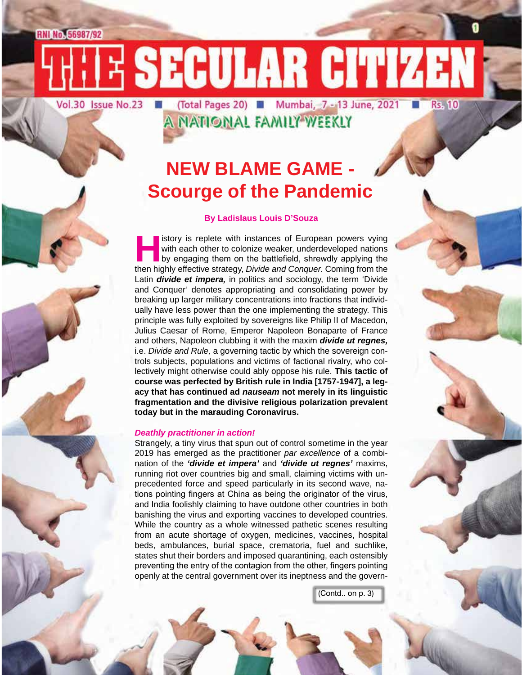RNI No. 56987/92

Vol.30 Issue No.23 | (Total Pages 20) | Mumbai, 7 - 13 June, 2021

**Rs. 10** 

A NATIONAL FAMILY WEEKLY

E SECULAR CITIZEN

### **NEW BLAME GAME - Scourge of the Pandemic**

#### **By Ladislaus Louis D'Souza**

**History is replete with instances of European powers vying<br>with each other to colonize weaker, underdeveloped nations<br>by engaging them on the battlefield, shrewdly applying the<br>then highly effective strategy. Divide and C** with each other to colonize weaker, underdeveloped nations by engaging them on the battlefield, shrewdly applying the then highly effective strategy, *Divide and Conquer.* Coming from the Latin *divide et impera,* in politics and sociology, the term 'Divide and Conquer' denotes appropriating and consolidating power by breaking up larger military concentrations into fractions that individually have less power than the one implementing the strategy. This principle was fully exploited by sovereigns like Philip II of Macedon, Julius Caesar of Rome, Emperor Napoleon Bonaparte of France and others, Napoleon clubbing it with the maxim *divide ut regnes,* i.e. *Divide and Rule,* a governing tactic by which the sovereign controls subjects, populations and victims of factional rivalry, who collectively might otherwise could ably oppose his rule. **This tactic of course was perfected by British rule in India [1757-1947], a legacy that has continued ad** *nauseam* **not merely in its linguistic fragmentation and the divisive religious polarization prevalent today but in the marauding Coronavirus.**

#### *Deathly practitioner in action!*

Strangely, a tiny virus that spun out of control sometime in the year 2019 has emerged as the practitioner *par excellence* of a combination of the *'divide et impera'* and *'divide ut regnes'* maxims, running riot over countries big and small, claiming victims with unprecedented force and speed particularly in its second wave, nations pointing fingers at China as being the originator of the virus, and India foolishly claiming to have outdone other countries in both banishing the virus and exporting vaccines to developed countries. While the country as a whole witnessed pathetic scenes resulting from an acute shortage of oxygen, medicines, vaccines, hospital beds, ambulances, burial space, crematoria, fuel and suchlike, states shut their borders and imposed quarantining, each ostensibly preventing the entry of the contagion from the other, fingers pointing openly at the central government over its ineptness and the govern-

(Contd.. on p. 3)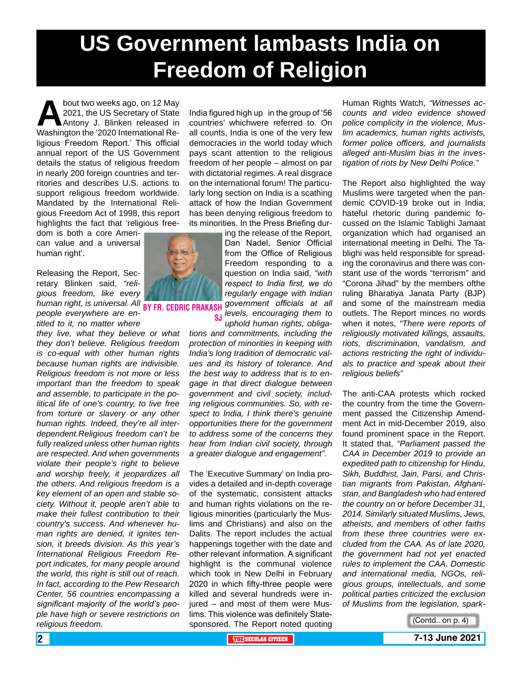## **US Government lambasts India on Freedom of Religion**

bout two weeks ago, on 12 May<br>2021, the US Secretary of State<br>Antony J. Blinken released in<br>Washington the '2020 International Re-2021, the US Secretary of State Antony J. Blinken released in Washington the '2020 International Religious Freedom Report.' This official annual report of the US Government details the status of religious freedom in nearly 200 foreign countries and territories and describes U.S. actions to support religious freedom worldwide. Mandated by the International Religious Freedom Act of 1998, this report highlights the fact that 'religious freedom is both a core Ameri-

can value and a universal human right'.

Releasing the Report, Secretary Blinken said, *"religious freedom, like every*  human right, is universal. All **BY FR. CEDRIC PRAKASH** *people everywhere are entitled to it, no matter where* 

*they live, what they believe or what they don't believe. Religious freedom is co-equal with other human rights because human rights are indivisible. Religious freedom is not more or less important than the freedom to speak and assemble, to participate in the political life of one's country, to live free from torture or slavery or any other human rights. Indeed, they're all interdependent.Religious freedom can't be fully realized unless other human rights are respected. And when governments violate their people's right to believe and worship freely, it jeopardizes all the others. And religious freedom is a key element of an open and stable society. Without it, people aren't able to make their fullest contribution to their country's success. And whenever human rights are denied, it ignites tension, it breeds division. As this year's International Religious Freedom Report indicates, for many people around the world, this right is still out of reach. In fact, according to the Pew Research Center, 56 countries encompassing a significant majority of the world's people have high or severe restrictions on religious freedom.*

India figured high up in the group of '56 countries' whichwere referred to. On all counts, India is one of the very few democracies in the world today which pays scant attention to the religious freedom of her people – almost on par with dictatorial regimes. A real disgrace on the international forum! The particularly long section on India is a scathing attack of how the Indian Government has been denying religious freedom to its minorities. In the Press Briefing dur-

ing the release of the Report, Dan Nadel, Senior Official from the Office of Religious Freedom responding to a question on India said, *"with respect to India first, we do regularly engage with Indian government officials at all levels, encouraging them to* 

*uphold human rights, obligations and commitments, including the protection of minorities in keeping with India's long tradition of democratic values and its history of tolerance. And the best way to address that is to engage in that direct dialogue between government and civil society, including religious communities. So, with respect to India, I think there's genuine opportunities there for the government to address some of the concerns they hear from Indian civil society, through a greater dialogue and engagement".* sj

The 'Executive Summary' on India provides a detailed and in-depth coverage of the systematic, consistent attacks and human rights violations on the religious minorities (particularly the Muslims and Christians) and also on the Dalits. The report includes the actual happenings together with the date and other relevant information. A significant highlight is the communal violence which took in New Delhi in February 2020 in which fifty-three people were killed and several hundreds were injured – and most of them were Muslims. This violence was definitely Statesponsored. The Report noted quoting

Human Rights Watch, *"Witnesses accounts and video evidence showed police complicity in the violence, Muslim academics, human rights activists, former police officers, and journalists alleged anti-Muslim bias in the investigation of riots by New Delhi Police."*

The Report also highlighted the way Muslims were targeted when the pandemic COVID-19 broke out in India; hateful rhetoric during pandemic focussed on the Islamic Tablighi Jamaat organization which had organised an international meeting in Delhi. The Tablighi was held responsible for spreading the coronavirus and there was constant use of the words "terrorism" and "Corona Jihad" by the members ofthe ruling Bharatiya Janata Party (BJP) and some of the mainstream media outlets. The Report minces no words when it notes, *"There were reports of religiously motivated killings, assaults, riots, discrimination, vandalism, and actions restricting the right of individuals to practice and speak about their religious beliefs"* 

The anti-CAA protests which rocked the country from the time the Government passed the Citizenship Amendment Act in mid-December 2019, also found prominent space in the Report. It stated that, *"Parliament passed the CAA in December 2019 to provide an expedited path to citizenship for Hindu, Sikh, Buddhist, Jain, Parsi, and Christian migrants from Pakistan, Afghanistan, and Bangladesh who had entered the country on or before December 31, 2014. Similarly situated Muslims, Jews, atheists, and members of other faiths from these three countries were excluded from the CAA. As of late 2020, the government had not yet enacted rules to implement the CAA. Domestic and international media, NGOs, religious groups, intellectuals, and some political parties criticized the exclusion of Muslims from the legislation, spark-*



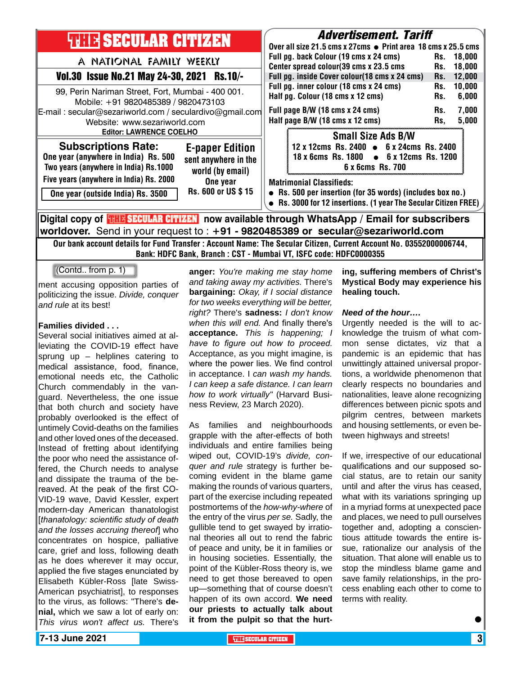| <b>THE SECULAR CITIZEN</b>                                                                                                                                                        | <b>Advertisement. Tariff</b>                                                                                                                                                                                                                                                                                      |
|-----------------------------------------------------------------------------------------------------------------------------------------------------------------------------------|-------------------------------------------------------------------------------------------------------------------------------------------------------------------------------------------------------------------------------------------------------------------------------------------------------------------|
| A NATIONAL FAMILY WEEKLY<br>Vol.30 Issue No.21 May 24-30, 2021 Rs.10/-<br>99, Perin Nariman Street, Fort, Mumbai - 400 001.                                                       | Over all size 21.5 cms x 27cms ● Print area 18 cms x 25.5 cms<br>Full pg. back Colour (19 cms x 24 cms)<br>18,000<br>Rs.<br>Center spread colour(39 cms x 23.5 cms<br>18,000<br>Rs.<br>Full pg. inside Cover colour(18 cms x 24 cms)<br>12,000<br>Rs.<br>Full pg. inner colour (18 cms x 24 cms)<br>10,000<br>Rs. |
| Mobile: +91 9820485389 / 9820473103<br>E-mail: secular@sezariworld.com / seculardivo@gmail.com<br>Website: www.sezariworld.com<br><b>Editor: LAWRENCE COELHO</b>                  | Half pg. Colour (18 cms x 12 cms)<br>6,000<br>Rs.<br>Full page B/W (18 cms x 24 cms)<br>7,000<br>Rs.<br>Half page B/W (18 cms x 12 cms)<br>5,000<br>Rs,                                                                                                                                                           |
| <b>Subscriptions Rate:</b><br><b>E-paper Edition</b><br>One year (anywhere in India) Rs. 500<br>sent anywhere in the<br>Two years (anywhere in India) Rs.1000<br>world (by email) | <b>Small Size Ads B/W</b><br>12 x 12cms Rs. 2400 • 6 x 24cms Rs. 2400<br>18 x 6cms Rs. 1800 • 6 x 12cms Rs. 1200<br>6 x 6cms Rs. 700                                                                                                                                                                              |
| Five years (anywhere in India) Rs. 2000<br>One year<br>Rs. 600 or US \$15<br>One year (outside India) Rs. 3500                                                                    | <b>Matrimonial Classifieds:</b><br>• Rs. 500 per insertion (for 35 words) (includes box no.)<br>• Rs. 3000 for 12 insertions. (1 year The Secular Citizen FREE)                                                                                                                                                   |
| Digital copy of <b>THE SECULAR CITIZEN</b> now available through WhatsApp / Email for subscribers                                                                                 |                                                                                                                                                                                                                                                                                                                   |

**worldover.** Send in your request to : **+91 - 9820485389 or secular@sezariworld.com** Our bank account details for Fund Transfer : Account Name: The Secular Citizen, Current Account No. 03552000006744, Bank: HDFC Bank, Branch : CST - Mumbai VT, ISFC code: HDFC0000355

(Contd.. from p. 1)

ment accusing opposition parties of politicizing the issue. *Divide, conquer and rule* at its best!

#### **Families divided . . .**

Several social initiatives aimed at alleviating the COVID-19 effect have sprung up – helplines catering to medical assistance, food, finance, emotional needs etc, the Catholic Church commendably in the vanguard. Nevertheless, the one issue that both church and society have probably overlooked is the effect of untimely Covid-deaths on the families and other loved ones of the deceased. Instead of fretting about identifying the poor who need the assistance offered, the Church needs to analyse and dissipate the trauma of the bereaved. At the peak of the first CO-VID-19 wave, David Kessler, expert modern-day American thanatologist [*thanatology: scientific study of death and the losses accruing thereof*] who concentrates on hospice, palliative care, grief and loss, following death as he does wherever it may occur, applied the five stages enunciated by Elisabeth Kübler-Ross [late Swiss-American psychiatrist], to responses to the virus, as follows: "There's **denial,** which we saw a lot of early on: *This virus won't affect us.* There's

**anger:** *You're making me stay home and taking away my activities.* There's **bargaining:** *Okay, if I social distance for two weeks everything will be better, right?* There's **sadness:** *I don't know when this will end.* And finally there's **acceptance.** *This is happening; I have to figure out how to proceed.* Acceptance, as you might imagine, is where the power lies. We find control in acceptance. I *can wash my hands. I can keep a safe distance. I can learn how to work virtually"* (Harvard Business Review, 23 March 2020).

As families and neighbourhoods grapple with the after-effects of both individuals and entire families being wiped out, COVID-19's *divide, conquer and rule* strategy is further becoming evident in the blame game making the rounds of various quarters, part of the exercise including repeated postmortems of the *how-why-where* of the entry of the virus *per se.* Sadly, the gullible tend to get swayed by irrational theories all out to rend the fabric of peace and unity, be it in families or in housing societies. Essentially, the point of the Kübler-Ross theory is, we need to get those bereaved to open up—something that of course doesn't happen of its own accord. **We need our priests to actually talk about it from the pulpit so that the hurt-**

#### **ing, suffering members of Christ's Mystical Body may experience his healing touch.**

#### *Need of the hour….*

Urgently needed is the will to acknowledge the truism of what common sense dictates, viz that a pandemic is an epidemic that has unwittingly attained universal proportions, a worldwide phenomenon that clearly respects no boundaries and nationalities, leave alone recognizing differences between picnic spots and pilgrim centres, between markets and housing settlements, or even between highways and streets!

If we, irrespective of our educational qualifications and our supposed social status, are to retain our sanity until and after the virus has ceased, what with its variations springing up in a myriad forms at unexpected pace and places, we need to pull ourselves together and, adopting a conscientious attitude towards the entire issue, rationalize our analysis of the situation. That alone will enable us to stop the mindless blame game and save family relationships, in the process enabling each other to come to terms with reality.

 $\bullet$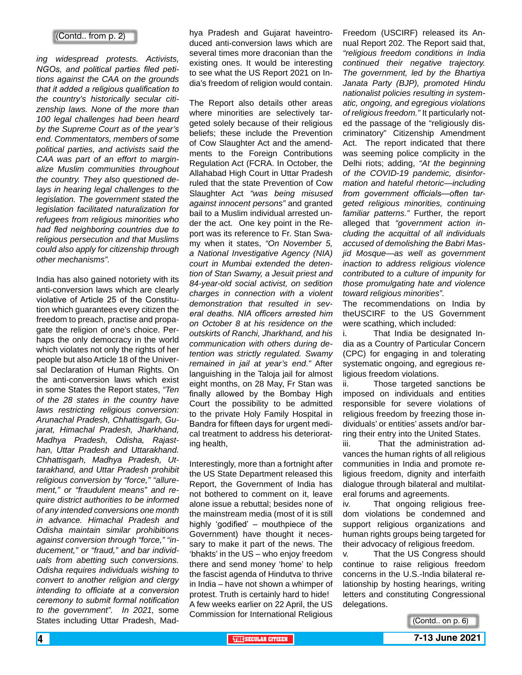#### (Contd.. from p. 2)

*ing widespread protests. Activists, NGOs, and political parties filed petitions against the CAA on the grounds that it added a religious qualification to the country's historically secular citizenship laws. None of the more than 100 legal challenges had been heard by the Supreme Court as of the year's end. Commentators, members of some political parties, and activists said the CAA was part of an effort to marginalize Muslim communities throughout the country. They also questioned delays in hearing legal challenges to the legislation. The government stated the legislation facilitated naturalization for refugees from religious minorities who had fled neighboring countries due to religious persecution and that Muslims could also apply for citizenship through other mechanisms".*

India has also gained notoriety with its anti-conversion laws which are clearly violative of Article 25 of the Constitution which guarantees every citizen the freedom to preach, practise and propagate the religion of one's choice. Perhaps the only democracy in the world which violates not only the rights of her people but also Article 18 of the Universal Declaration of Human Rights. On the anti-conversion laws which exist in some States the Report states, *"Ten of the 28 states in the country have laws restricting religious conversion: Arunachal Pradesh, Chhattisgarh, Gujarat, Himachal Pradesh, Jharkhand, Madhya Pradesh, Odisha, Rajasthan, Uttar Pradesh and Uttarakhand. Chhattisgarh, Madhya Pradesh, Uttarakhand, and Uttar Pradesh prohibit religious conversion by "force," "allurement," or "fraudulent means" and require district authorities to be informed of any intended conversions one month in advance. Himachal Pradesh and Odisha maintain similar prohibitions against conversion through "force," "inducement," or "fraud," and bar individuals from abetting such conversions. Odisha requires individuals wishing to convert to another religion and clergy intending to officiate at a conversion ceremony to submit formal notification to the government". In 2021,* some States including Uttar Pradesh, Madhya Pradesh and Gujarat haveintroduced anti-conversion laws which are several times more draconian than the existing ones. It would be interesting to see what the US Report 2021 on India's freedom of religion would contain.

The Report also details other areas where minorities are selectively targeted solely because of their religious beliefs; these include the Prevention of Cow Slaughter Act and the amendments to the Foreign Contributions Regulation Act (FCRA. In October, the Allahabad High Court in Uttar Pradesh ruled that the state Prevention of Cow Slaughter Act *"was being misused against innocent persons"* and granted bail to a Muslim individual arrested under the act. One key point in the Report was its reference to Fr. Stan Swamy when it states, *"On November 5, a National Investigative Agency (NIA) court in Mumbai extended the detention of Stan Swamy, a Jesuit priest and 84-year-old social activist, on sedition charges in connection with a violent demonstration that resulted in several deaths. NIA officers arrested him on October 8 at his residence on the outskirts of Ranchi, Jharkhand, and his communication with others during detention was strictly regulated. Swamy remained in jail at year's end."* After languishing in the Taloja jail for almost eight months, on 28 May, Fr Stan was finally allowed by the Bombay High Court the possibility to be admitted to the private Holy Family Hospital in Bandra for fifteen days for urgent medical treatment to address his deteriorating health,

Interestingly, more than a fortnight after the US State Department released this Report, the Government of India has not bothered to comment on it, leave alone issue a rebuttal; besides none of the mainstream media (most of it is still highly 'godified' – mouthpiece of the Government) have thought it necessary to make it part of the news. The 'bhakts' in the US – who enjoy freedom there and send money 'home' to help the fascist agenda of Hindutva to thrive in India – have not shown a whimper of protest. Truth is certainly hard to hide! A few weeks earlier on 22 April, the US Commission for International Religious

Freedom (USCIRF) released its Annual Report 202. The Report said that, *"religious freedom conditions in India continued their negative trajectory. The government, led by the Bhartiya Janata Party (BJP), promoted Hindu nationalist policies resulting in systematic, ongoing, and egregious violations of religious freedom."* It particularly noted the passage of the "religiously discriminatory" Citizenship Amendment Act. The report indicated that there was seeming police complicity in the Delhi riots; adding, *"At the beginning of the COVID-19 pandemic, disinformation and hateful rhetoric—including from government officials—often targeted religious minorities, continuing familiar patterns."* Further, the report alleged that *"government action including the acquittal of all individuals accused of demolishing the Babri Masjid Mosque—as well as government inaction to address religious violence contributed to a culture of impunity for those promulgating hate and violence toward religious minorities".*

The recommendations on India by theUSCIRF to the US Government were scathing, which included:

i. That India be designated India as a Country of Particular Concern (CPC) for engaging in and tolerating systematic ongoing, and egregious religious freedom violations.

ii. Those targeted sanctions be imposed on individuals and entities responsible for severe violations of religious freedom by freezing those individuals' or entities' assets and/or barring their entry into the United States.

iii. That the administration advances the human rights of all religious communities in India and promote religious freedom, dignity and interfaith dialogue through bilateral and multilateral forums and agreements.

iv. That ongoing religious freedom violations be condemned and support religious organizations and human rights groups being targeted for their advocacy of religious freedom.

v. That the US Congress should continue to raise religious freedom concerns in the U.S.-India bilateral relationship by hosting hearings, writing letters and constituting Congressional delegations.

(Contd.. on p. 6)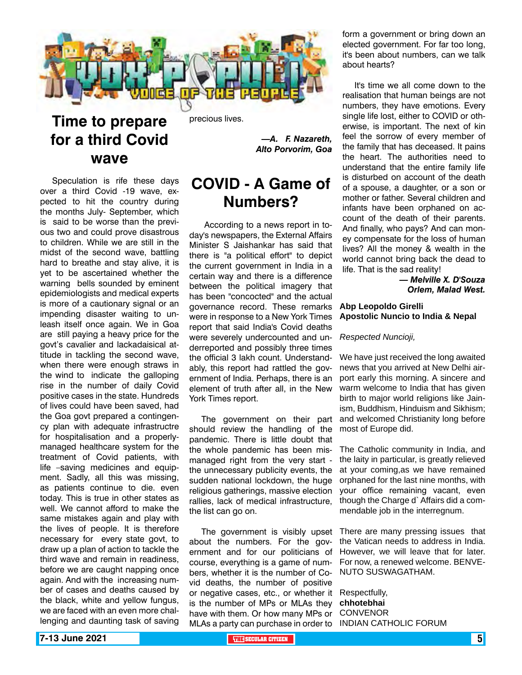

### **Time to prepare for a third Covid wave**

Speculation is rife these days over a third Covid -19 wave, expected to hit the country during the months July- September, which is said to be worse than the previous two and could prove disastrous to children. While we are still in the midst of the second wave, battling hard to breathe and stay alive, it is yet to be ascertained whether the warning bells sounded by eminent epidemiologists and medical experts is more of a cautionary signal or an impending disaster waiting to unleash itself once again. We in Goa are still paying a heavy price for the govt's cavalier and lackadaisical attitude in tackling the second wave, when there were enough straws in the wind to indicate the galloping rise in the number of daily Covid positive cases in the state. Hundreds of lives could have been saved, had the Goa govt prepared a contingency plan with adequate infrastructre for hospitalisation and a properlymanaged healthcare system for the treatment of Covid patients, with life –saving medicines and equipment. Sadly, all this was missing, as patients continue to die. even today. This is true in other states as well. We cannot afford to make the same mistakes again and play with the lives of people. It is therefore necessary for every state govt, to draw up a plan of action to tackle the third wave and remain in readiness, before we are caught napping once again. And with the increasing number of cases and deaths caused by the black, white and yellow fungus, we are faced with an even more challenging and daunting task of saving

precious lives.

*—A. F. Nazareth, Alto Porvorim, Goa*

### **COVID - A Game of Numbers?**

 According to a news report in today's newspapers, the External Affairs Minister S Jaishankar has said that there is "a political effort" to depict the current government in India in a certain way and there is a difference between the political imagery that has been "concocted" and the actual governance record. These remarks were in response to a New York Times report that said India's Covid deaths were severely undercounted and underreported and possibly three times the official 3 lakh count. Understandably, this report had rattled the government of India. Perhaps, there is an element of truth after all, in the New York Times report.

The government on their part should review the handling of the pandemic. There is little doubt that the whole pandemic has been mismanaged right from the very start the unnecessary publicity events, the sudden national lockdown, the huge religious gatherings, massive election rallies, lack of medical infrastructure, the list can go on.

The government is visibly upset about the numbers. For the government and for our politicians of course, everything is a game of numbers, whether it is the number of Covid deaths, the number of positive or negative cases, etc., or whether it is the number of MPs or MLAs they have with them. Or how many MPs or MLAs a party can purchase in order to form a government or bring down an elected government. For far too long, it's been about numbers, can we talk about hearts?

It's time we all come down to the realisation that human beings are not numbers, they have emotions. Every single life lost, either to COVID or otherwise, is important. The next of kin feel the sorrow of every member of the family that has deceased. It pains the heart. The authorities need to understand that the entire family life is disturbed on account of the death of a spouse, a daughter, or a son or mother or father. Several children and infants have been orphaned on account of the death of their parents. And finally, who pays? And can money compensate for the loss of human lives? All the money & wealth in the world cannot bring back the dead to life. That is the sad reality!

> *— Melville X. D'Souza Orlem, Malad West.*

#### **Abp Leopoldo Girelli Apostolic Nuncio to India & Nepal**

*Respected Nuncioji,*

We have just received the long awaited news that you arrived at New Delhi airport early this morning. A sincere and warm welcome to India that has given birth to major world religions like Jainism, Buddhism, Hinduism and Sikhism; and welcomed Christianity long before most of Europe did.

The Catholic community in India, and the laity in particular, is greatly relieved at your coming,as we have remained orphaned for the last nine months, with your office remaining vacant, even though the Charge d` Affairs did a commendable job in the interregnum.

There are many pressing issues that the Vatican needs to address in India. However, we will leave that for later. For now, a renewed welcome. BENVE-NUTO SUSWAGATHAM.

Respectfully, **chhotebhai CONVENOR** INDIAN CATHOLIC FORUM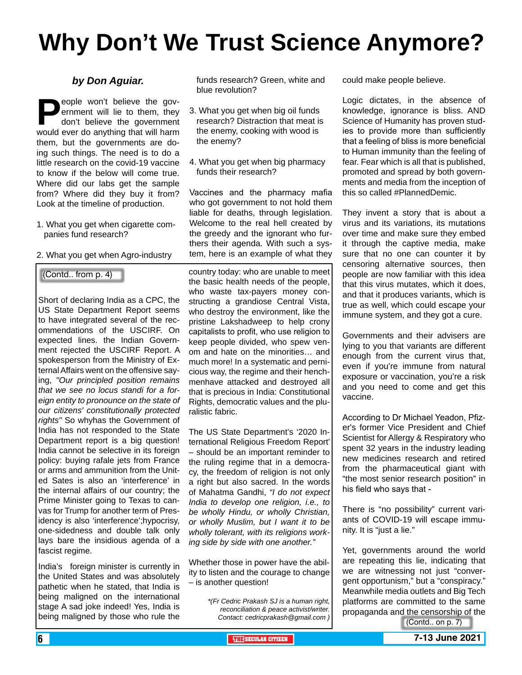## **Why Don't We Trust Science Anymore?**

#### *by Don Aguiar.*

**People won't believe the gov-**<br>ernment will lie to them, they<br>don't believe the government<br>would ever do anything that will harm ernment will lie to them, they don't believe the government would ever do anything that will harm them, but the governments are doing such things. The need is to do a little research on the covid-19 vaccine to know if the below will come true. Where did our labs get the sample from? Where did they buy it from? Look at the timeline of production.

- 1. What you get when cigarette companies fund research?
- 2. What you get when Agro-industry

(Contd.. from p. 4)

Short of declaring India as a CPC, the US State Department Report seems to have integrated several of the recommendations of the USCIRF. On expected lines. the Indian Government rejected the USCIRF Report. A spokesperson from the Ministry of External Affairs went on the offensive saying, *"Our principled position remains that we see no locus standi for a foreign entity to pronounce on the state of our citizens' constitutionally protected rights"* So whyhas the Government of India has not responded to the State Department report is a big question! India cannot be selective in its foreign policy: buying rafale jets from France or arms and ammunition from the United Sates is also an 'interference' in the internal affairs of our country; the Prime Minister going to Texas to canvas for Trump for another term of Presidency is also 'interference';hypocrisy, one-sidedness and double talk only lays bare the insidious agenda of a fascist regime.

India's foreign minister is currently in the United States and was absolutely pathetic when he stated, that India is being maligned on the international stage A sad joke indeed! Yes, India is being maligned by those who rule the

funds research? Green, white and blue revolution?

- 3. What you get when big oil funds research? Distraction that meat is the enemy, cooking with wood is the enemy?
- 4. What you get when big pharmacy funds their research?

Vaccines and the pharmacy mafia who got government to not hold them liable for deaths, through legislation. Welcome to the real hell created by the greedy and the ignorant who furthers their agenda. With such a system, here is an example of what they

country today: who are unable to meet the basic health needs of the people, who waste tax-payers money constructing a grandiose Central Vista, who destroy the environment, like the pristine Lakshadweep to help crony capitalists to profit, who use religion to keep people divided, who spew venom and hate on the minorities… and much more! In a systematic and pernicious way, the regime and their henchmenhave attacked and destroyed all that is precious in India: Constitutional Rights, democratic values and the pluralistic fabric.

The US State Department's '2020 International Religious Freedom Report' – should be an important reminder to the ruling regime that in a democracy, the freedom of religion is not only a right but also sacred. In the words of Mahatma Gandhi, *"I do not expect India to develop one religion, i.e., to be wholly Hindu, or wholly Christian, or wholly Muslim, but I want it to be wholly tolerant, with its religions working side by side with one another."*

Whether those in power have the ability to listen and the courage to change – is another question!

> *\*(Fr Cedric Prakash SJ is a human right, reconciliation & peace activist/writer. Contact: cedricprakash@gmail.com )* (Contd.. on p. 7)

could make people believe.

Logic dictates, in the absence of knowledge, ignorance is bliss. AND Science of Humanity has proven studies to provide more than sufficiently that a feeling of bliss is more beneficial to Human immunity than the feeling of fear. Fear which is all that is published, promoted and spread by both governments and media from the inception of this so called #PlannedDemic.

They invent a story that is about a virus and its variations, its mutations over time and make sure they embed it through the captive media, make sure that no one can counter it by censoring alternative sources, then people are now familiar with this idea that this virus mutates, which it does, and that it produces variants, which is true as well, which could escape your immune system, and they got a cure.

Governments and their advisers are lying to you that variants are different enough from the current virus that, even if you're immune from natural exposure or vaccination, you're a risk and you need to come and get this vaccine.

According to Dr Michael Yeadon, Pfizer's former Vice President and Chief Scientist for Allergy & Respiratory who spent 32 years in the industry leading new medicines research and retired from the pharmaceutical giant with "the most senior research position" in his field who says that -

There is "no possibility" current variants of COVID-19 will escape immunity. It is "just a lie."

Yet, governments around the world are repeating this lie, indicating that we are witnessing not just "convergent opportunism," but a "conspiracy." Meanwhile media outlets and Big Tech platforms are committed to the same propaganda and the censorship of the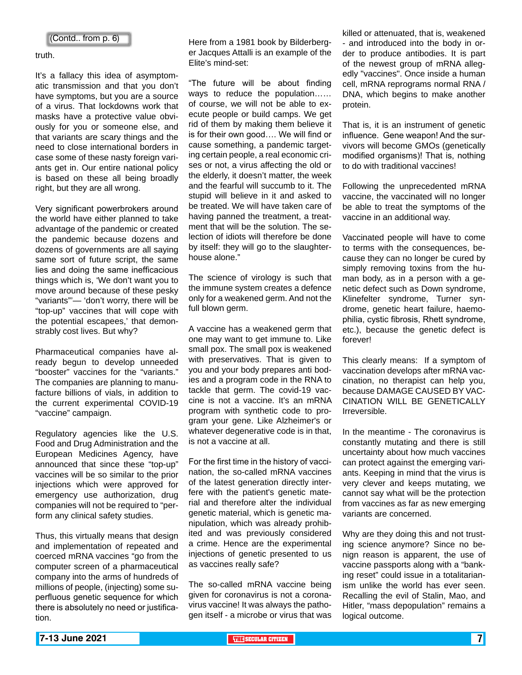truth.

It's a fallacy this idea of asymptomatic transmission and that you don't have symptoms, but you are a source of a virus. That lockdowns work that masks have a protective value obviously for you or someone else, and that variants are scary things and the need to close international borders in case some of these nasty foreign variants get in. Our entire national policy is based on these all being broadly right, but they are all wrong.

Very significant powerbrokers around the world have either planned to take advantage of the pandemic or created the pandemic because dozens and dozens of governments are all saying same sort of future script, the same lies and doing the same inefficacious things which is, 'We don't want you to move around because of these pesky "variants"'— 'don't worry, there will be "top-up" vaccines that will cope with the potential escapees,' that demonstrably cost lives. But why?

Pharmaceutical companies have already begun to develop unneeded "booster" vaccines for the "variants." The companies are planning to manufacture billions of vials, in addition to the current experimental COVID-19 "vaccine" campaign.

Regulatory agencies like the U.S. Food and Drug Administration and the European Medicines Agency, have announced that since these "top-up" vaccines will be so similar to the prior injections which were approved for emergency use authorization, drug companies will not be required to "perform any clinical safety studies.

Thus, this virtually means that design and implementation of repeated and coerced mRNA vaccines "go from the computer screen of a pharmaceutical company into the arms of hundreds of millions of people, (injecting) some superfluous genetic sequence for which there is absolutely no need or justification.

Here from a 1981 book by Bilderberger Jacques Attalli is an example of the Elite's mind-set:

"The future will be about finding ways to reduce the population…… of course, we will not be able to execute people or build camps. We get rid of them by making them believe it is for their own good…. We will find or cause something, a pandemic targeting certain people, a real economic crises or not, a virus affecting the old or the elderly, it doesn't matter, the week and the fearful will succumb to it. The stupid will believe in it and asked to be treated. We will have taken care of having panned the treatment, a treatment that will be the solution. The selection of idiots will therefore be done by itself: they will go to the slaughterhouse alone."

The science of virology is such that the immune system creates a defence only for a weakened germ. And not the full blown germ.

A vaccine has a weakened germ that one may want to get immune to. Like small pox. The small pox is weakened with preservatives. That is given to you and your body prepares anti bodies and a program code in the RNA to tackle that germ. The covid-19 vaccine is not a vaccine. It's an mRNA program with synthetic code to program your gene. Like Alzheimer's or whatever degenerative code is in that, is not a vaccine at all.

For the first time in the history of vaccination, the so-called mRNA vaccines of the latest generation directly interfere with the patient's genetic material and therefore alter the individual genetic material, which is genetic manipulation, which was already prohibited and was previously considered a crime. Hence are the experimental injections of genetic presented to us as vaccines really safe?

The so-called mRNA vaccine being given for coronavirus is not a coronavirus vaccine! It was always the pathogen itself - a microbe or virus that was

killed or attenuated, that is, weakened - and introduced into the body in order to produce antibodies. It is part of the newest group of mRNA allegedly "vaccines". Once inside a human cell, mRNA reprograms normal RNA / DNA, which begins to make another protein.

That is, it is an instrument of genetic influence. Gene weapon! And the survivors will become GMOs (genetically modified organisms)! That is, nothing to do with traditional vaccines!

Following the unprecedented mRNA vaccine, the vaccinated will no longer be able to treat the symptoms of the vaccine in an additional way.

Vaccinated people will have to come to terms with the consequences, because they can no longer be cured by simply removing toxins from the human body, as in a person with a genetic defect such as Down syndrome, Klinefelter syndrome, Turner syndrome, genetic heart failure, haemophilia, cystic fibrosis, Rhett syndrome, etc.), because the genetic defect is forever!

This clearly means: If a symptom of vaccination develops after mRNA vaccination, no therapist can help you, because DAMAGE CAUSED BY VAC-CINATION WILL BE GENETICALLY Irreversible.

In the meantime - The coronavirus is constantly mutating and there is still uncertainty about how much vaccines can protect against the emerging variants. Keeping in mind that the virus is very clever and keeps mutating, we cannot say what will be the protection from vaccines as far as new emerging variants are concerned.

Why are they doing this and not trusting science anymore? Since no benign reason is apparent, the use of vaccine passports along with a "banking reset" could issue in a totalitarianism unlike the world has ever seen. Recalling the evil of Stalin, Mao, and Hitler, "mass depopulation" remains a logical outcome.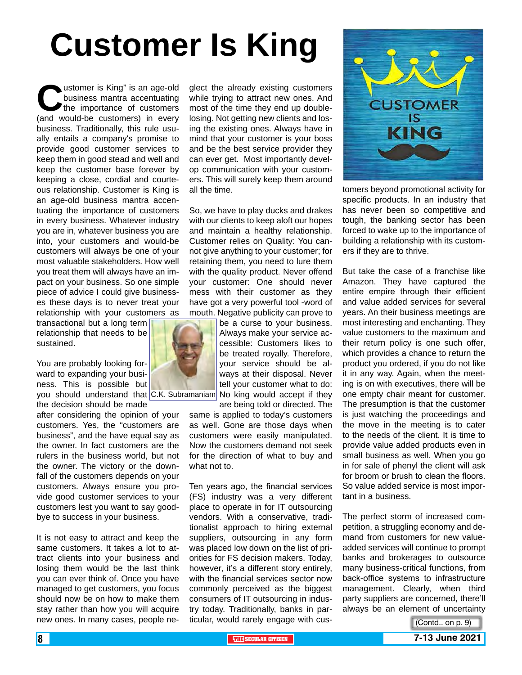# **Customer Is King**

Ustomer is King" is an age-old<br>business mantra accentuating<br>the importance of customers<br>(and would-be customers) in every business mantra accentuating the importance of customers (and would-be customers) in every business. Traditionally, this rule usually entails a company's promise to provide good customer services to keep them in good stead and well and keep the customer base forever by keeping a close, cordial and courteous relationship. Customer is King is an age-old business mantra accentuating the importance of customers in every business. Whatever industry you are in, whatever business you are into, your customers and would-be customers will always be one of your most valuable stakeholders. How well you treat them will always have an impact on your business. So one simple piece of advice I could give businesses these days is to never treat your relationship with your customers as

transactional but a long term relationship that needs to be sustained.

You are probably looking forward to expanding your business. This is possible but the decision should be made

after considering the opinion of your customers. Yes, the "customers are business", and the have equal say as the owner. In fact customers are the rulers in the business world, but not the owner. The victory or the downfall of the customers depends on your customers. Always ensure you provide good customer services to your customers lest you want to say goodbye to success in your business.

It is not easy to attract and keep the same customers. It takes a lot to attract clients into your business and losing them would be the last think you can ever think of. Once you have managed to get customers, you focus should now be on how to make them stay rather than how you will acquire new ones. In many cases, people ne-

glect the already existing customers while trying to attract new ones. And most of the time they end up doublelosing. Not getting new clients and losing the existing ones. Always have in mind that your customer is your boss and be the best service provider they can ever get. Most importantly develop communication with your customers. This will surely keep them around all the time.

So, we have to play ducks and drakes with our clients to keep aloft our hopes and maintain a healthy relationship. Customer relies on Quality: You cannot give anything to your customer; for retaining them, you need to lure them with the quality product. Never offend your customer: One should never mess with their customer as they have got a very powerful tool -word of mouth. Negative publicity can prove to

you should understand that C.K. Subramaniam No king would accept if they be a curse to your business. Always make your service accessible: Customers likes to be treated royally. Therefore, your service should be always at their disposal. Never tell your customer what to do:

> are being told or directed. The same is applied to today's customers as well. Gone are those days when customers were easily manipulated. Now the customers demand not seek for the direction of what to buy and what not to.

> Ten years ago, the financial services (FS) industry was a very different place to operate in for IT outsourcing vendors. With a conservative, traditionalist approach to hiring external suppliers, outsourcing in any form was placed low down on the list of priorities for FS decision makers. Today, however, it's a different story entirely, with the financial services sector now commonly perceived as the biggest consumers of IT outsourcing in industry today. Traditionally, banks in particular, would rarely engage with cus-



tomers beyond promotional activity for specific products. In an industry that has never been so competitive and tough, the banking sector has been forced to wake up to the importance of building a relationship with its customers if they are to thrive.

But take the case of a franchise like Amazon. They have captured the entire empire through their efficient and value added services for several years. An their business meetings are most interesting and enchanting. They value customers to the maximum and their return policy is one such offer, which provides a chance to return the product you ordered, if you do not like it in any way. Again, when the meeting is on with executives, there will be one empty chair meant for customer. The presumption is that the customer is just watching the proceedings and the move in the meeting is to cater to the needs of the client. It is time to provide value added products even in small business as well. When you go in for sale of phenyl the client will ask for broom or brush to clean the floors. So value added service is most important in a business.

The perfect storm of increased competition, a struggling economy and demand from customers for new valueadded services will continue to prompt banks and brokerages to outsource many business-critical functions, from back-office systems to infrastructure management. Clearly, when third party suppliers are concerned, there'll always be an element of uncertainty

(Contd.. on p. 9)

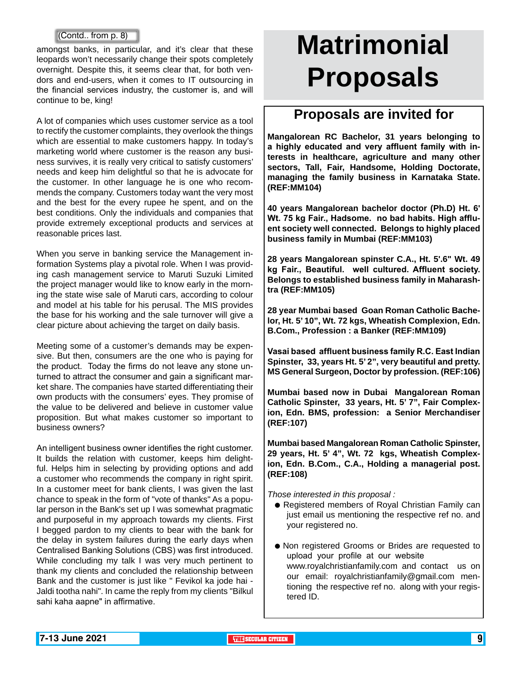#### (Contd.. from p. 8)

amongst banks, in particular, and it's clear that these leopards won't necessarily change their spots completely overnight. Despite this, it seems clear that, for both vendors and end-users, when it comes to IT outsourcing in the financial services industry, the customer is, and will continue to be, king!

A lot of companies which uses customer service as a tool to rectify the customer complaints, they overlook the things which are essential to make customers happy. In today's marketing world where customer is the reason any business survives, it is really very critical to satisfy customers' needs and keep him delightful so that he is advocate for the customer. In other language he is one who recommends the company. Customers today want the very most and the best for the every rupee he spent, and on the best conditions. Only the individuals and companies that provide extremely exceptional products and services at reasonable prices last.

When you serve in banking service the Management information Systems play a pivotal role. When I was providing cash management service to Maruti Suzuki Limited the project manager would like to know early in the morning the state wise sale of Maruti cars, according to colour and model at his table for his perusal. The MIS provides the base for his working and the sale turnover will give a clear picture about achieving the target on daily basis.

Meeting some of a customer's demands may be expensive. But then, consumers are the one who is paying for the product. Today the firms do not leave any stone unturned to attract the consumer and gain a significant market share. The companies have started differentiating their own products with the consumers' eyes. They promise of the value to be delivered and believe in customer value proposition. But what makes customer so important to business owners?

An intelligent business owner identifies the right customer. It builds the relation with customer, keeps him delightful. Helps him in selecting by providing options and add a customer who recommends the company in right spirit. In a customer meet for bank clients, I was given the last chance to speak in the form of "vote of thanks" As a popular person in the Bank's set up I was somewhat pragmatic and purposeful in my approach towards my clients. First I begged pardon to my clients to bear with the bank for the delay in system failures during the early days when Centralised Banking Solutions (CBS) was first introduced. While concluding my talk I was very much pertinent to thank my clients and concluded the relationship between Bank and the customer is just like " Fevikol ka jode hai - Jaldi tootha nahi". In came the reply from my clients "Bilkul sahi kaha aapne" in affirmative.

# **Matrimonial Proposals**

### **Proposals are invited for**

**Mangalorean RC Bachelor, 31 years belonging to a highly educated and very affluent family with interests in healthcare, agriculture and many other sectors, Tall, Fair, Handsome, Holding Doctorate, managing the family business in Karnataka State. (REF:MM104)**

**40 years Mangalorean bachelor doctor (Ph.D) Ht. 6' Wt. 75 kg Fair., Hadsome. no bad habits. High affluent society well connected. Belongs to highly placed business family in Mumbai (REF:MM103)**

**28 years Mangalorean spinster C.A., Ht. 5'.6" Wt. 49 kg Fair., Beautiful. well cultured. Affluent society. Belongs to established business family in Maharashtra (REF:MM105)**

**28 year Mumbai based Goan Roman Catholic Bachelor, Ht. 5' 10", Wt. 72 kgs, Wheatish Complexion, Edn. B.Com., Profession : a Banker (REF:MM109)**

**Vasai based affluent business family R.C. East Indian Spinster, 33, years Ht. 5' 2", very beautiful and pretty. MS General Surgeon, Doctor by profession. (REF:106)**

**Mumbai based now in Dubai Mangalorean Roman Catholic Spinster, 33 years, Ht. 5' 7", Fair Complexion, Edn. BMS, profession: a Senior Merchandiser (REF:107)**

**Mumbai based Mangalorean Roman Catholic Spinster, 29 years, Ht. 5' 4", Wt. 72 kgs, Wheatish Complexion, Edn. B.Com., C.A., Holding a managerial post. (REF:108)** 

*Those interested in this proposal :*

- **Registered members of Royal Christian Family can** just email us mentioning the respective ref no. and your registered no.
- Non registered Grooms or Brides are requested to upload your profile at our website www.royalchristianfamily.com and contact us on our email: royalchristianfamily@gmail.com mentioning the respective ref no. along with your registered ID.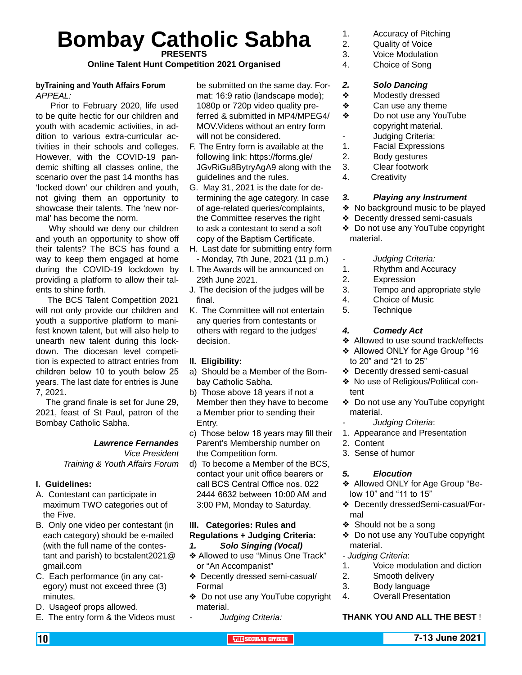# **Bombay Catholic Sabha PRESENTS**

**Online Talent Hunt Competition 2021 Organised** 

#### **byTraining and Youth Affairs Forum** *APPEAL:*

 Prior to February 2020, life used to be quite hectic for our children and youth with academic activities, in addition to various extra-curricular activities in their schools and colleges. However, with the COVID-19 pandemic shifting all classes online, the scenario over the past 14 months has 'locked down' our children and youth, not giving them an opportunity to showcase their talents. The 'new normal' has become the norm.

 Why should we deny our children and youth an opportunity to show off their talents? The BCS has found a way to keep them engaged at home during the COVID-19 lockdown by providing a platform to allow their talents to shine forth.

 The BCS Talent Competition 2021 will not only provide our children and youth a supportive platform to manifest known talent, but will also help to unearth new talent during this lockdown. The diocesan level competition is expected to attract entries from children below 10 to youth below 25 years. The last date for entries is June 7, 2021.

 The grand finale is set for June 29, 2021, feast of St Paul, patron of the Bombay Catholic Sabha.

#### *Lawrence Fernandes*

*Vice President Training & Youth Affairs Forum*

#### **I. Guidelines:**

- A. Contestant can participate in maximum TWO categories out of the Five.
- B. Only one video per contestant (in each category) should be e-mailed (with the full name of the contestant and parish) to bcstalent2021@ gmail.com
- C. Each performance (in any category) must not exceed three (3) minutes.
- D. Usageof props allowed.
- E. The entry form & the Videos must

be submitted on the same day. Format: 16:9 ratio (landscape mode); 1080p or 720p video quality preferred & submitted in MP4/MPEG4/ MOV.Videos without an entry form will not be considered.

- F. The Entry form is available at the following link: https://forms.gle/ JGvRiGu8BytryAgA9 along with the guidelines and the rules.
- G. May 31, 2021 is the date for determining the age category. In case of age-related queries/complaints, the Committee reserves the right to ask a contestant to send a soft copy of the Baptism Certificate.
- H. Last date for submitting entry form - Monday, 7th June, 2021 (11 p.m.)
- I. The Awards will be announced on 29th June 2021.
- J. The decision of the judges will be final.
- K. The Committee will not entertain any queries from contestants or others with regard to the judges' decision.

#### **II. Eligibility:**

- a) Should be a Member of the Bombay Catholic Sabha.
- b) Those above 18 years if not a Member then they have to become a Member prior to sending their Entry.
- c) Those below 18 years may fill their Parent's Membership number on the Competition form.
- d) To become a Member of the BCS, contact your unit office bearers or call BCS Central Office nos. 022 2444 6632 between 10:00 AM and 3:00 PM, Monday to Saturday.

#### **III. Categories: Rules and Regulations + Judging Criteria:** *1. Solo Singing (Vocal)*

- ◆ Allowed to use "Minus One Track" or "An Accompanist"
- v Decently dressed semi-casual/ Formal
- ◆ Do not use any YouTube copyright material.
	- *- Judging Criteria:*
- 1. Accuracy of Pitching
- 2. Quality of Voice
- 3. Voice Modulation
- 4. Choice of Song

#### *2. Solo Dancing*

- ◆ Modestly dressed
- $\triangle$  Can use any theme
- ◆ Do not use any YouTube copyright material.
	- Judging Criteria:
- 1. Facial Expressions
- 2. Body gestures
- 3. Clear footwork
- 4. Creativity

#### *3. Playing any Instrument*

- ◆ No background music to be played
- ◆ Decently dressed semi-casuals
- ◆ Do not use any YouTube copyright material.
	- *- Judging Criteria:*
- 1. Rhythm and Accuracy
- 2. Expression
- 3. Tempo and appropriate style
- 4. Choice of Music
- 5. Technique

#### *4. Comedy Act*

- ◆ Allowed to use sound track/effects
- ◆ Allowed ONLY for Age Group "16 to 20" and "21 to 25"
- ◆ Decently dressed semi-casual
- ◆ No use of Religious/Political content
- ◆ Do not use any YouTube copyright material.
	- *- Judging Criteria*:
- 1. Appearance and Presentation
- 2. Content
- 3. Sense of humor

#### *5. Elocution*

- ◆ Allowed ONLY for Age Group "Below 10" and "11 to 15"
- v Decently dressedSemi-casual/Formal
- ◆ Should not be a song
- ◆ Do not use any YouTube copyright material.
- *Judging Criteria*:
- 1. Voice modulation and diction
- 2. Smooth delivery
- 3. Body language
- 4. Overall Presentation

#### **THANK YOU AND ALL THE BEST** !

#### 10 **THE SECULAR CITIZEN 7-13 June 2021**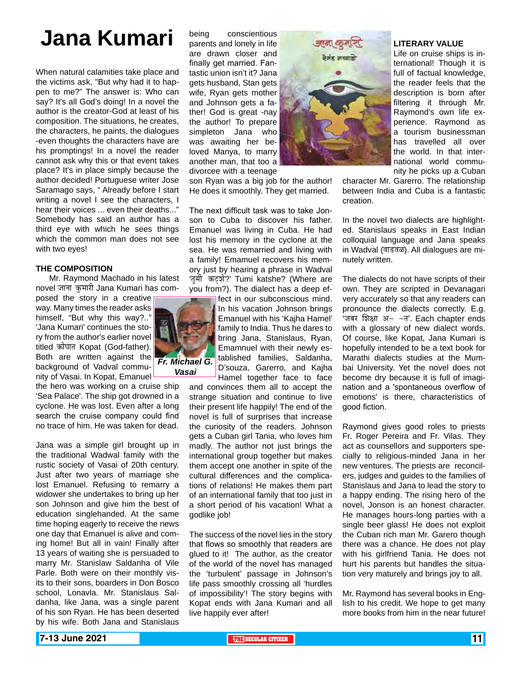## **Jana Kumari**

When natural calamities take place and the victims ask, "But why had it to happen to me?" The answer is: Who can say? It's all God's doing! In a novel the author is the creator-God at least of his composition. The situations, he creates, the characters, he paints, the dialogues -even thoughts the characters have are his promptings! In a novel the reader cannot ask why this or that event takes place? It's in place simply because the author decided! Portuguese writer Jose Saramago says, " Already before I start writing a novel I see the characters, I hear their voices ... even their deaths..." Somebody has said an author has a third eye with which he sees things which the common man does not see with two eyes!

#### **THE COMPOSITION**

 Mr. Raymond Machado in his latest novel जाना कुमारी Jana Kumari has com-

posed the story in a creative way. Many times the reader asks himself, "But why this way?.." 'Jana Kumari' continues the story from the author's earlier novel titled कोपात Kopat (God-father). Both are written against the background of Vadval community of Vasai. In Kopat, Emanuel

the hero was working on a cruise ship 'Sea Palace'. The ship got drowned in a cyclone. He was lost. Even after a long search the cruise company could find no trace of him. He was taken for dead.

Jana was a simple girl brought up in the traditional Wadwal family with the rustic society of Vasai of 20th century. Just after two years of marriage she lost Emanuel. Refusing to remarry a widower she undertakes to bring up her son Johnson and give him the best of education singlehanded. At the same time hoping eagerly to receive the news one day that Emanuel is alive and coming home! But all in vain! Finally after 13 years of waiting she is persuaded to marry Mr. Stanislaw Saldanha of Vile Parle. Both were on their monthly visits to their sons, boarders in Don Bosco school, Lonavla. Mr. Stanislaus Saldanha, like Jana, was a single parent of his son Ryan. He has been deserted by his wife. Both Jana and Stanislaus

being conscientious parents and lonely in life are drawn closer and finally get married. Fantastic union isn't it? Jana gets husband, Stan gets wife, Ryan gets mother and Johnson gets a father! God is great -nay the author! To prepare simpleton Jana who was awaiting her beloved Manya, to marry another man, that too a divorcee with a teenage

son Ryan was a big job for the author! He does it smoothly. They get married.

The next difficult task was to take Jonson to Cuba to discover his father. Emanuel was living in Cuba. He had lost his memory in the cyclone at the sea. He was remarried and living with a family! Emamuel recovers his memory just by hearing a phrase in Wadval 'तुमी कट्ने?' Tumi katshe? (Where are you from?). The dialect has a deep ef-

> fect in our subconscious mind. In his vacation Johnson brings Emanuel with his 'Kajha Hamel' family to India. Thus he dares to bring Jana, Stanislaus, Ryan, Emamnuel with their newly established families, Saldanha, D'souza, Garerro, and Kajha Hamel together face to face

and convinces them all to accept the strange situation and continue to live their present life happily! The end of the novel is full of surprises that increase the curiosity of the readers. Johnson gets a Cuban girl Tania, who loves him madly. The author not just brings the international group together but makes them accept one another in spite of the cultural differences and the complications of relations! He makes them part of an international family that too just in a short period of his vacation! What a godlike job!

The success of the novel lies in the story that flows so smoothly that readers are glued to it! The author, as the creator of the world of the novel has managed the 'turbulent' passage in Johnson's life pass smoothly crossing all 'hurdles of impossibility'! The story begins with Kopat ends with Jana Kumari and all live happily ever after!



#### **LITERARY VALUE**

Life on cruise ships is international! Though it is full of factual knowledge, the reader feels that the description is born after filtering it through Mr. Raymond's own life experience. Raymond as a tourism businessman has travelled all over the world. In that international world community he picks up a Cuban

character Mr. Garerro. The relationship between India and Cuba is a fantastic creation.

In the novel two dialects are highlighted. Stanislaus speaks in East Indian colloquial language and Jana speaks in Wadval (वाडवळ). All dialogues are minutely written.

The dialects do not have scripts of their own. They are scripted in Devanagari very accurately so that any readers can pronounce the dialects correctly. E.g. 'जबर शिक्षा अ~ ~त'. Each chapter ends with a glossary of new dialect words. Of course, like Kopat, Jana Kumari is hopefully intended to be a text book for Marathi dialects studies at the Mumbai University. Yet the novel does not become dry because it is full of imagination and a 'spontaneous overflow of emotions' is there, characteristics of good fiction.

Raymond gives good roles to priests Fr. Roger Pereira and Fr. Vilas. They act as counsellors and supporters specially to religious-minded Jana in her new ventures. The priests are reconcilers, judges and guides to the families of Stanislaus and Jana to lead the story to a happy ending. The rising hero of the novel, Jonson is an honest character. He manages hours-long parties with a single beer glass! He does not exploit the Cuban rich man Mr. Garero though there was a chance. He does not play with his girlfriend Tania. He does not hurt his parents but handles the situation very maturely and brings joy to all.

Mr. Raymond has several books in English to his credit. We hope to get many more books from him in the near future!

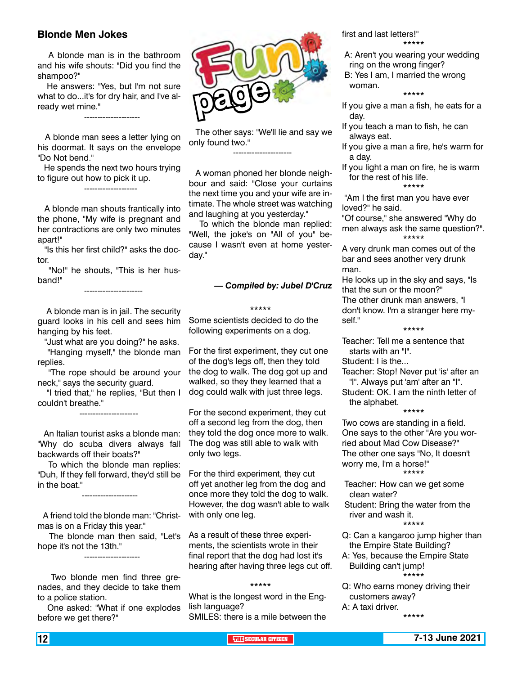#### **Blonde Men Jokes**

---------------------

 A blonde man is in the bathroom and his wife shouts: "Did you find the shampoo?"

 He answers: "Yes, but I'm not sure what to do...it's for dry hair, and I've already wet mine."

 A blonde man sees a letter lying on his doormat. It says on the envelope "Do Not bend."

 He spends the next two hours trying to figure out how to pick it up.

--------------------

 A blonde man shouts frantically into the phone, "My wife is pregnant and her contractions are only two minutes apart!"

 "Is this her first child?" asks the doctor.

 "No!" he shouts, "This is her husband!"

----------------------

 A blonde man is in jail. The security guard looks in his cell and sees him hanging by his feet.

"Just what are you doing?" he asks.

 "Hanging myself," the blonde man replies.

 "The rope should be around your neck," says the security guard.

 "I tried that," he replies, "But then I couldn't breathe."

----------------------

---------------------

---------------------

 An Italian tourist asks a blonde man: "Why do scuba divers always fall backwards off their boats?"

 To which the blonde man replies: "Duh, If they fell forward, they'd still be in the boat."

 A friend told the blonde man: "Christmas is on a Friday this year."

 The blonde man then said, "Let's hope it's not the 13th."

 Two blonde men find three grenades, and they decide to take them to a police station.

 One asked: "What if one explodes before we get there?"



 The other says: "We'll lie and say we only found two."

----------------------

 A woman phoned her blonde neighbour and said: "Close your curtains the next time you and your wife are intimate. The whole street was watching and laughing at you yesterday."

 To which the blonde man replied: "Well, the joke's on "All of you" because I wasn't even at home yesterday."

#### *— Compiled by: Jubel D'Cruz*

#### \*\*\*\*\*

Some scientists decided to do the following experiments on a dog.

For the first experiment, they cut one of the dog's legs off, then they told the dog to walk. The dog got up and walked, so they they learned that a dog could walk with just three legs.

For the second experiment, they cut off a second leg from the dog, then they told the dog once more to walk. The dog was still able to walk with only two legs.

For the third experiment, they cut off yet another leg from the dog and once more they told the dog to walk. However, the dog wasn't able to walk with only one leg.

As a result of these three experiments, the scientists wrote in their final report that the dog had lost it's hearing after having three legs cut off.

#### \*\*\*\*\*

What is the longest word in the English language? SMILES: there is a mile between the first and last letters!"

- \*\*\*\*\*
- A: Aren't you wearing your wedding ring on the wrong finger?
- B: Yes I am, I married the wrong woman.

\*\*\*\*\*

If you give a man a fish, he eats for a day.

- If you teach a man to fish, he can always eat.
- If you give a man a fire, he's warm for a day.
- If you light a man on fire, he is warm for the rest of his life. \*\*\*\*\*

 "Am I the first man you have ever loved?" he said.

"Of course," she answered "Why do men always ask the same question?". \*\*\*\*\*

A very drunk man comes out of the bar and sees another very drunk man.

He looks up in the sky and says, "Is that the sun or the moon?" The other drunk man answers, "I don't know. I'm a stranger here myself."

#### \*\*\*\*\*

Teacher: Tell me a sentence that starts with an "I".

Student: I is the...

Teacher: Stop! Never put 'is' after an "I". Always put 'am' after an "I".

Student: OK. I am the ninth letter of the alphabet.

\*\*\*\*\*

Two cows are standing in a field. One says to the other "Are you worried about Mad Cow Disease?" The other one says "No, It doesn't worry me, I'm a horse!" \*\*\*\*\*

Teacher: How can we get some clean water?

Student: Bring the water from the river and wash it. \*\*\*\*\*

- Q: Can a kangaroo jump higher than the Empire State Building?
- A: Yes, because the Empire State Building can't jump! \*\*\*\*\*
- Q: Who earns money driving their customers away? A: A taxi driver. \*\*\*\*\*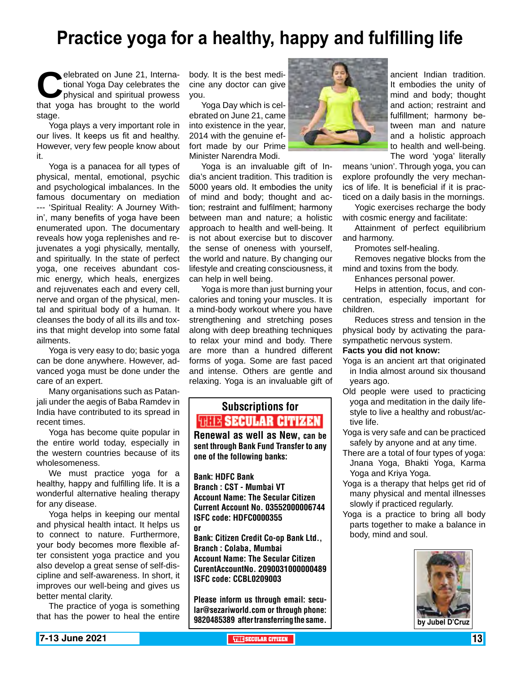### **Practice yoga for a healthy, happy and fulfilling life**

elebrated on June 21, Interna-<br>tional Yoga Day celebrates the<br>physical and spiritual prowess<br>that yoga has brought to the world tional Yoga Day celebrates the physical and spiritual prowess stage.

Yoga plays a very important role in our lives. It keeps us fit and healthy. However, very few people know about it.

Yoga is a panacea for all types of physical, mental, emotional, psychic and psychological imbalances. In the famous documentary on mediation --- 'Spiritual Reality: A Journey Within', many benefits of yoga have been enumerated upon. The documentary reveals how yoga replenishes and rejuvenates a yogi physically, mentally, and spiritually. In the state of perfect yoga, one receives abundant cosmic energy, which heals, energizes and rejuvenates each and every cell, nerve and organ of the physical, mental and spiritual body of a human. It cleanses the body of all its ills and toxins that might develop into some fatal ailments.

Yoga is very easy to do; basic yoga can be done anywhere. However, advanced yoga must be done under the care of an expert.

Many organisations such as Patanjali under the aegis of Baba Ramdev in India have contributed to its spread in recent times.

Yoga has become quite popular in the entire world today, especially in the western countries because of its wholesomeness.

We must practice yoga for a healthy, happy and fulfilling life. It is a wonderful alternative healing therapy for any disease.

Yoga helps in keeping our mental and physical health intact. It helps us to connect to nature. Furthermore, your body becomes more flexible after consistent yoga practice and you also develop a great sense of self-discipline and self-awareness. In short, it improves our well-being and gives us better mental clarity.

The practice of yoga is something that has the power to heal the entire

body. It is the best medicine any doctor can give you.

Yoga Day which is celebrated on June 21, came into existence in the year, 2014 with the genuine effort made by our Prime Minister Narendra Modi.

Yoga is an invaluable gift of India's ancient tradition. This tradition is 5000 years old. It embodies the unity of mind and body; thought and action; restraint and fulfilment; harmony between man and nature; a holistic approach to health and well-being. It is not about exercise but to discover the sense of oneness with yourself, the world and nature. By changing our lifestyle and creating consciousness, it can help in well being.

Yoga is more than just burning your calories and toning your muscles. It is a mind-body workout where you have strengthening and stretching poses along with deep breathing techniques to relax your mind and body. There are more than a hundred different forms of yoga. Some are fast paced and intense. Others are gentle and relaxing. Yoga is an invaluable gift of

### Subscriptions for **RENEW SECULAR CITIZEN**<br>Renewal as well as New, can be

sent through Bank Fund Transfer to any one of the following banks:

Bank: HDFC Bank Branch : CST - Mumbai VT Account Name: The Secular Citizen Current Account No. 03552000006744 ISFC code: HDFC0000355 or

Bank: Citizen Credit Co-op Bank Ltd., Branch : Colaba, Mumbai Account Name: The Secular Citizen CurentAccountNo. 2090031000000489 ISFC code: CCBL0209003

Please inform us through email: secular@sezariworld.com or through phone: 9820485389 after transferring the same. **by Jubel D'Cruz** 



ancient Indian tradition. It embodies the unity of mind and body; thought and action; restraint and fulfillment; harmony between man and nature and a holistic approach to health and well-being. The word 'yoga' literally

means 'union'. Through yoga, you can explore profoundly the very mechanics of life. It is beneficial if it is practiced on a daily basis in the mornings.

Yogic exercises recharge the body with cosmic energy and facilitate:

Attainment of perfect equilibrium and harmony.

Promotes self-healing.

Removes negative blocks from the mind and toxins from the body.

Enhances personal power.

Helps in attention, focus, and concentration, especially important for children.

Reduces stress and tension in the physical body by activating the parasympathetic nervous system.

#### **Facts you did not know:**

- Yoga is an ancient art that originated in India almost around six thousand years ago.
- Old people were used to practicing yoga and meditation in the daily lifestyle to live a healthy and robust/active life.
- Yoga is very safe and can be practiced safely by anyone and at any time.
- There are a total of four types of yoga: Jnana Yoga, Bhakti Yoga, Karma Yoga and Kriya Yoga.
- Yoga is a therapy that helps get rid of many physical and mental illnesses slowly if practiced regularly.
- Yoga is a practice to bring all body parts together to make a balance in body, mind and soul.

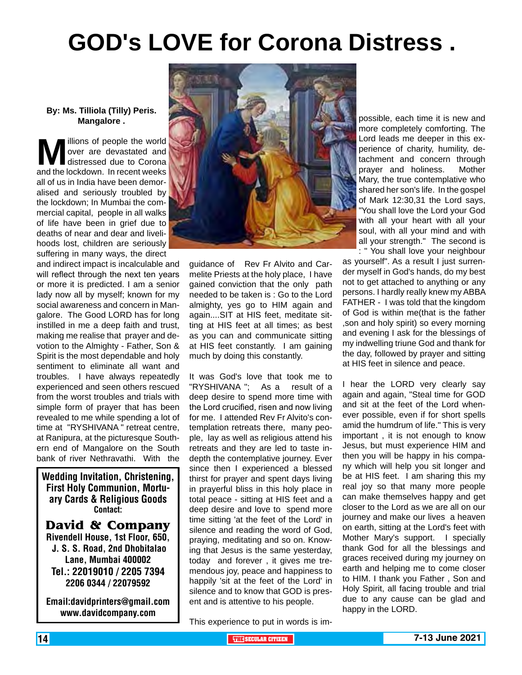## **GOD's LOVE for Corona Distress .**

#### **By: Ms. Tilliola (Tilly) Peris. Mangalore .**

**M** illions of people the world<br>over are devastated and<br>and the lockdown. In recent weeks over are devastated and distressed due to Corona and the lockdown. In recent weeks all of us in India have been demoralised and seriously troubled by the lockdown; In Mumbai the commercial capital, people in all walks of life have been in grief due to deaths of near and dear and livelihoods lost, children are seriously suffering in many ways, the direct

and indirect impact is incalculable and will reflect through the next ten years or more it is predicted. I am a senior lady now all by myself; known for my social awareness and concern in Mangalore. The Good LORD has for long instilled in me a deep faith and trust, making me realise that prayer and devotion to the Almighty - Father, Son & Spirit is the most dependable and holy sentiment to eliminate all want and troubles. I have always repeatedly experienced and seen others rescued from the worst troubles and trials with simple form of prayer that has been revealed to me while spending a lot of time at "RYSHIVANA " retreat centre, at Ranipura, at the picturesque Southern end of Mangalore on the South bank of river Nethravathi. With the

Wedding Invitation, Christening, First Holy Communion, Mortuary Cards & Religious Goods Contact:

**David & Company** Rivendell House, 1st Floor, 650, J. S. S. Road, 2nd Dhobitalao Lane, Mumbai 400002 Tel.: 22019010 / 2205 7394 2206 0344 / 22079592

Email:davidprinters@gmail.com www.davidcompany.com



guidance of Rev Fr Alvito and Carmelite Priests at the holy place, I have gained conviction that the only path needed to be taken is : Go to the Lord almighty, yes go to HIM again and again....SIT at HIS feet, meditate sitting at HIS feet at all times; as best as you can and communicate sitting at HIS feet constantly. I am gaining much by doing this constantly.

It was God's love that took me to "RYSHIVANA "; As a result of a deep desire to spend more time with the Lord crucified, risen and now living for me. I attended Rev Fr Alvito's contemplation retreats there, many people, lay as well as religious attend his retreats and they are led to taste indepth the contemplative journey. Ever since then I experienced a blessed thirst for prayer and spent days living in prayerful bliss in this holy place in total peace - sitting at HIS feet and a deep desire and love to spend more time sitting 'at the feet of the Lord' in silence and reading the word of God, praying, meditating and so on. Knowing that Jesus is the same yesterday, today and forever , it gives me tremendous joy, peace and happiness to happily 'sit at the feet of the Lord' in silence and to know that GOD is present and is attentive to his people.

This experience to put in words is im-

possible, each time it is new and more completely comforting. The Lord leads me deeper in this experience of charity, humility, detachment and concern through prayer and holiness. Mother Mary, the true contemplative who shared her son's life. In the gospel of Mark 12:30,31 the Lord says, "You shall love the Lord your God with all your heart with all your soul, with all your mind and with all your strength." The second is : " You shall love your neighbour

as yourself". As a result I just surrender myself in God's hands, do my best not to get attached to anything or any persons. I hardly really knew my ABBA FATHER - I was told that the kingdom of God is within me(that is the father ,son and holy spirit) so every morning and evening I ask for the blessings of my indwelling triune God and thank for the day, followed by prayer and sitting at HIS feet in silence and peace.

I hear the LORD very clearly say again and again, "Steal time for GOD and sit at the feet of the Lord whenever possible, even if for short spells amid the humdrum of life." This is very important , it is not enough to know Jesus, but must experience HIM and then you will be happy in his company which will help you sit longer and be at HIS feet. I am sharing this my real joy so that many more people can make themselves happy and get closer to the Lord as we are all on our journey and make our lives a heaven on earth, sitting at the Lord's feet with Mother Mary's support. I specially thank God for all the blessings and graces received during my journey on earth and helping me to come closer to HIM. I thank you Father , Son and Holy Spirit, all facing trouble and trial due to any cause can be glad and happy in the LORD.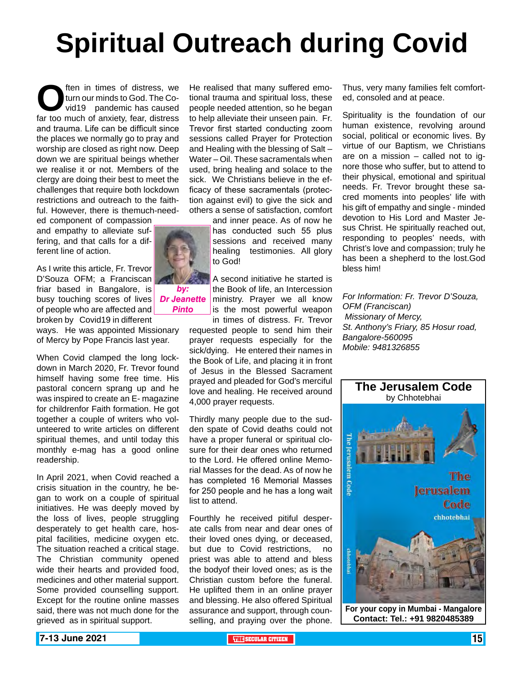# **Spiritual Outreach during Covid**

**O**ften in times of distress, we turn our minds to God. The Covid19 pandemic has caused far too much of anxiety, fear, distress turn our minds to God. The Covid19 pandemic has caused and trauma. Life can be difficult since the places we normally go to pray and worship are closed as right now. Deep down we are spiritual beings whether we realise it or not. Members of the clergy are doing their best to meet the challenges that require both lockdown restrictions and outreach to the faithful. However, there is themuch-need-

ed component of compassion and empathy to alleviate suffering, and that calls for a different line of action.

As I write this article, Fr. Trevor D'Souza OFM; a Franciscan friar based in Bangalore, is busy touching scores of lives *Dr Jeanette*  of people who are affected and broken by Covid19 in different

ways. He was appointed Missionary of Mercy by Pope Francis last year.

When Covid clamped the long lockdown in March 2020, Fr. Trevor found himself having some free time. His pastoral concern sprang up and he was inspired to create an E- magazine for childrenfor Faith formation. He got together a couple of writers who volunteered to write articles on different spiritual themes, and until today this monthly e-mag has a good online readership.

In April 2021, when Covid reached a crisis situation in the country, he began to work on a couple of spiritual initiatives. He was deeply moved by the loss of lives, people struggling desperately to get health care, hospital facilities, medicine oxygen etc. The situation reached a critical stage. The Christian community opened wide their hearts and provided food, medicines and other material support. Some provided counselling support. Except for the routine online masses said, there was not much done for the grieved as in spiritual support.

He realised that many suffered emotional trauma and spiritual loss, these people needed attention, so he began to help alleviate their unseen pain. Fr. Trevor first started conducting zoom sessions called Prayer for Protection and Healing with the blessing of Salt – Water – Oil. These sacramentals when used, bring healing and solace to the sick. We Christians believe in the efficacy of these sacramentals (protection against evil) to give the sick and others a sense of satisfaction, comfort

and inner peace. As of now he has conducted such 55 plus sessions and received many healing testimonies. All glory to God!

A second initiative he started is the Book of life, an Intercession ministry. Prayer we all know is the most powerful weapon in times of distress. Fr. Trevor

requested people to send him their prayer requests especially for the sick/dying. He entered their names in the Book of Life, and placing it in front of Jesus in the Blessed Sacrament prayed and pleaded for God's merciful love and healing. He received around 4,000 prayer requests.

Thirdly many people due to the sudden spate of Covid deaths could not have a proper funeral or spiritual closure for their dear ones who returned to the Lord. He offered online Memorial Masses for the dead. As of now he has completed 16 Memorial Masses for 250 people and he has a long wait list to attend.

Fourthly he received pitiful desperate calls from near and dear ones of their loved ones dying, or deceased, but due to Covid restrictions, no priest was able to attend and bless the bodyof their loved ones; as is the Christian custom before the funeral. He uplifted them in an online prayer and blessing. He also offered Spiritual assurance and support, through counselling, and praying over the phone.

Thus, very many families felt comforted, consoled and at peace.

Spirituality is the foundation of our human existence, revolving around social, political or economic lives. By virtue of our Baptism, we Christians are on a mission – called not to ignore those who suffer, but to attend to their physical, emotional and spiritual needs. Fr. Trevor brought these sacred moments into peoples' life with his gift of empathy and single - minded devotion to His Lord and Master Jesus Christ. He spiritually reached out, responding to peoples' needs, with Christ's love and compassion; truly he has been a shepherd to the lost.God bless him!

*For Information: Fr. Trevor D'Souza, OFM (Franciscan) Missionary of Mercy, St. Anthony's Friary, 85 Hosur road, Bangalore-560095 Mobile: 9481326855*



**Contact: Tel.: +91 9820485389**



*Pinto*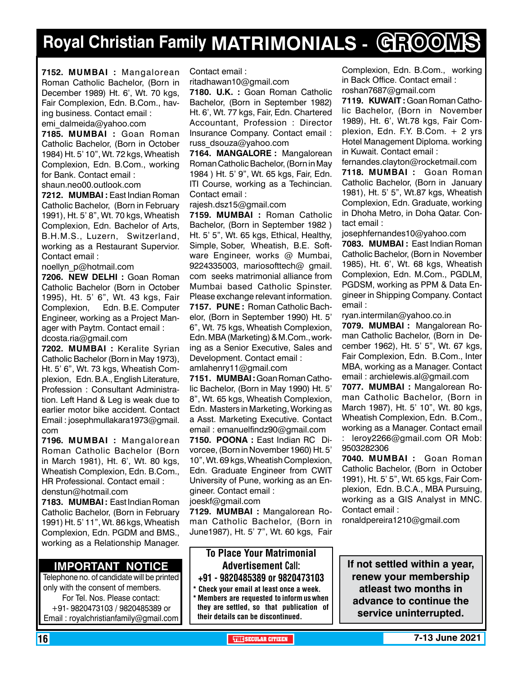## **Royal Christian Family MATRIMONIALS - GROOMS**

**7152. MUMBAI :** Mangalorean Roman Catholic Bachelor, (Born in December 1989) Ht. 6', Wt. 70 kgs, Fair Complexion, Edn. B.Com., having business. Contact email : emi\_dalmeida@yahoo.com

**7185. MUMBAI :** Goan Roman Catholic Bachelor, (Born in October 1984) Ht. 5' 10", Wt. 72 kgs, Wheatish Complexion, Edn. B.Com., working for Bank. Contact email : shaun.neo00.outlook.com

**7212. MUMBAI :** East Indian Roman Catholic Bachelor, (Born in February 1991), Ht. 5' 8", Wt. 70 kgs, Wheatish Complexion, Edn. Bachelor of Arts, B.H.M.S., Luzern, Switzerland, working as a Restaurant Supervior. Contact email :

noellyn\_p@hotmail.com

**7206. new delhi :** Goan Roman Catholic Bachelor (Born in October 1995), Ht. 5' 6", Wt. 43 kgs, Fair Complexion, Edn. B.E. Computer Engineer, working as a Project Manager with Paytm. Contact email : dcosta.ria@gmail.com

**7202. MUMBAI :** Keralite Syrian Catholic Bachelor (Born in May 1973), Ht. 5' 6", Wt. 73 kgs, Wheatish Complexion, Edn. B.A., English Literature, Profession : Consultant Administration. Left Hand & Leg is weak due to earlier motor bike accident. Contact Email : josephmullakara1973@gmail. com

**7196. MUMBAI :** Mangalorean Roman Catholic Bachelor (Born in March 1981), Ht. 6', Wt. 80 kgs, Wheatish Complexion, Edn. B.Com., HR Professional. Contact email : denstun@hotmail.com

**7183. MUMBAI :** East Indian Roman Catholic Bachelor, (Born in February 1991) Ht. 5' 11", Wt. 86 kgs, Wheatish Complexion, Edn. PGDM and BMS., working as a Relationship Manager.

#### **Important Notice**

Telephone no. of candidate will be printed only with the consent of members. For Tel. Nos. Please contact: +91- 9820473103 / 9820485389 or Email : royalchristianfamily@gmail.com

Contact email :

ritadhawan10@gmail.com

**7180. U.K. :** Goan Roman Catholic Bachelor, (Born in September 1982) Ht. 6', Wt. 77 kgs, Fair, Edn. Chartered Accountant, Profession : Director Insurance Company. Contact email : russ\_dsouza@yahoo.com

**7164. MANGALORE :** Mangalorean Roman Catholic Bachelor, (Born in May 1984 ) Ht. 5' 9", Wt. 65 kgs, Fair, Edn. ITI Course, working as a Techincian. Contact email :

rajesh.dsz15@gmail.com

**7159. MUMBAI :** Roman Catholic Bachelor, (Born in September 1982 ) Ht. 5' 5", Wt. 65 kgs, Ethical, Healthy, Simple, Sober, Wheatish, B.E. Software Engineer, works @ Mumbai, 9224335003, mariosofttech@ gmail. com seeks matrimonial alliance from Mumbai based Catholic Spinster. Please exchange relevant information. **7157. PUNE :** Roman Catholic Bachelor, (Born in September 1990) Ht. 5' 6", Wt. 75 kgs, Wheatish Complexion, Edn. MBA (Marketing) & M.Com., working as a Senior Executive, Sales and Development. Contact email : amlahenry11@gmail.com

**7151. MUMBAI :** Goan Roman Catholic Bachelor, (Born in May 1990) Ht. 5' 8", Wt. 65 kgs, Wheatish Complexion, Edn. Masters in Marketing, Working as a Asst. Marketing Executive. Contact email : emanuelfindz90@gmail.com

**7150. POONA :** East Indian RC Divorcee, (Born in November 1960) Ht. 5' 10", Wt. 69 kgs, Wheatish Complexion, Edn. Graduate Engineer from CWIT University of Pune, working as an Engineer. Contact email : joeskf@gmail.com

**7129. MUMBAI :** Mangalorean Roman Catholic Bachelor, (Born in June1987), Ht. 5' 7", Wt. 60 kgs, Fair

To Place Your Matrimonial Advertisement Call: +91 - 9820485389 or 9820473103

Check your email at least once a week. \* Members are requested to inform us when they are settled, so that publication of their details can be discontinued.

Complexion, Edn. B.Com., working in Back Office. Contact email : roshan7687@gmail.com

**7119. KUWAIT: Goan Roman Catho**lic Bachelor, (Born in November 1989), Ht. 6', Wt.78 kgs, Fair Complexion, Edn. F.Y. B.Com. + 2 yrs Hotel Management Diploma. working in Kuwait. Contact email :

fernandes.clayton@rocketmail.com **7118. MUMBAI :** Goan Roman

Catholic Bachelor, (Born in January 1981), Ht. 5' 5", Wt.87 kgs, Wheatish Complexion, Edn. Graduate, working in Dhoha Metro, in Doha Qatar. Contact email :

josephfernandes10@yahoo.com

**7083. MUMBAI :** East Indian Roman Catholic Bachelor, (Born in November 1985), Ht. 6', Wt. 68 kgs, Wheatish Complexion, Edn. M.Com., PGDLM, PGDSM, working as PPM & Data Engineer in Shipping Company. Contact email :

ryan.intermilan@yahoo.co.in

**7079. MUMBAI :** Mangalorean Roman Catholic Bachelor, (Born in December 1962), Ht. 5' 5", Wt. 67 kgs, Fair Complexion, Edn. B.Com., Inter MBA, working as a Manager. Contact email : archielewis.al@gmail.com

**7077. MUMBAI :** Mangalorean Roman Catholic Bachelor, (Born in March 1987), Ht. 5' 10", Wt. 80 kgs, Wheatish Complexion, Edn. B.Com., working as a Manager. Contact email : leroy2266@gmail.com OR Mob: 9503282306

**7040. MUMBAI :** Goan Roman Catholic Bachelor, (Born in October 1991), Ht. 5' 5", Wt. 65 kgs, Fair Complexion, Edn. B.C.A., MBA Pursuing, working as a GIS Analyst in MNC. Contact email :

ronaldpereira1210@gmail.com

**If not settled within a year, renew your membership atleast two months in advance to continue the service uninterrupted.**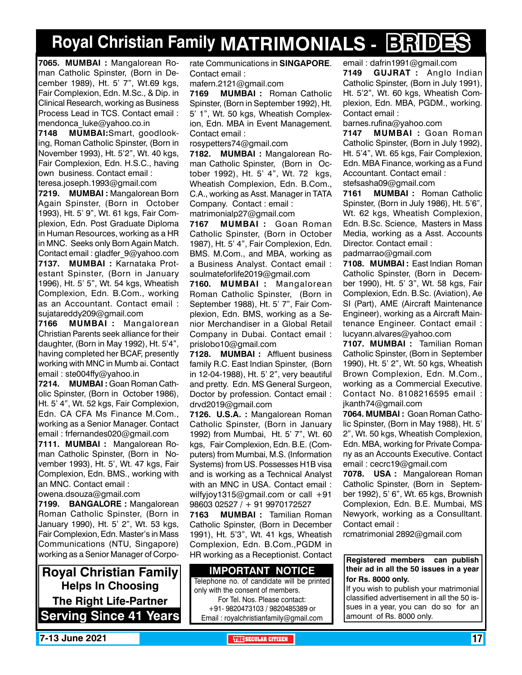## **Royal Christian Family MATRIMONIALS - BRIDES**

**7065. MUMBAI :** Mangalorean Roman Catholic Spinster, (Born in December 1989), Ht. 5' 7", Wt.69 kgs, Fair Complexion, Edn. M.Sc., & Dip. in Clinical Research, working as Business Process Lead in TCS. Contact email : mendonca\_luke@yahoo.co.in

**7148 MUMBAI:**Smart, goodlooking, Roman Catholic Spinster, (Born in November 1993), Ht. 5'2", Wt. 40 kgs, Fair Complexion, Edn. H.S.C., having own business. Contact email : teresa.joseph.1993@gmail.com

**7219. MUMBAI :** Mangalorean Born Again Spinster, (Born in October 1993), Ht. 5' 9", Wt. 61 kgs, Fair Complexion, Edn. Post Graduate Diploma in Human Resources, working as a HR in MNC. Seeks only Born Again Match. Contact email : gladfer\_9@yahoo.com **7137. MUMBAI :** Karnataka Protestant Spinster, (Born in January 1996), Ht. 5' 5", Wt. 54 kgs, Wheatish Complexion, Edn. B.Com., working as an Accountant. Contact email : sujatareddy209@gmail.com

**7166 MUMBAI :** Mangalorean Christian Parents seek alliance for their daughter, (Born in May 1992), Ht. 5'4", having completed her BCAF, presently working with MNC in Mumb ai. Contact email : ste004ffy@yahoo.in

**7214. MUMBAI :** Goan Roman Catholic Spinster, (Born in October 1986), Ht. 5' 4", Wt. 52 kgs, Fair Complexion, Edn. CA CFA Ms Finance M.Com., working as a Senior Manager. Contact email : frfernandes020@gmail.com

**7111. MUMBAI :** Mangalorean Roman Catholic Spinster, (Born in November 1993), Ht. 5', Wt. 47 kgs, Fair Complexion, Edn. BMS., working with an MNC. Contact email :

owena.dsouza@gmail.com

**7199. BANGALORE :** Mangalorean Roman Catholic Spinster, (Born in January 1990), Ht. 5' 2", Wt. 53 kgs, Fair Complexion, Edn. Master's in Mass Communications (NTU, Singapore) working as a Senior Manager of Corpo-

**Royal Christian Family Helps In Choosing The Right Life-Partner Serving Since 41 Years** rate Communications in **SINGAPORE**. Contact email :

mafern.2121@gmail.com

**7169 MUMBAI :** Roman Catholic Spinster, (Born in September 1992), Ht. 5' 1", Wt. 50 kgs, Wheatish Complexion, Edn. MBA in Event Management. Contact email :

rosypetters74@gmail.com

**7182. MUMBAI :** Mangalorean Roman Catholic Spinster, (Born in October 1992), Ht. 5' 4", Wt. 72 kgs, Wheatish Complexion, Edn. B.Com., C.A., working as Asst. Manager in TATA Company. Contact : email : matrimonialp27@gmail.com

**7167 MUMBAI :** Goan Roman Catholic Spinster, (Born in October 1987), Ht. 5' 4", Fair Complexion, Edn. BMS. M.Com., and MBA, working as a Business Analyst. Contact email : soulmateforlife2019@gmail.com

**7160. MUMBAI :** Mangalorean Roman Catholic Spinster, (Born in September 1988), Ht. 5' 7", Fair Complexion, Edn. BMS, working as a Senior Merchandiser in a Global Retail Company in Dubai. Contact email : prislobo10@gmail.com

**7128. MUMBAI :** Affluent business family R.C. East Indian Spinster, (Born in 12-04-1988), Ht. 5' 2", very beautiful and pretty. Edn. MS General Surgeon, Doctor by profession. Contact email : drvd2019@gmail.com

**7126. U.S.A. :** Mangalorean Roman Catholic Spinster, (Born in January 1992) from Mumbai, Ht. 5' 7", Wt. 60 kgs, Fair Complexion, Edn. B.E. (Computers) from Mumbai, M.S. (Information Systems) from US. Possesses H1B visa and is working as a Technical Analyst with an MNC in USA. Contact email : wilfyjoy1315@gmail.com or call +91 98603 02527 / + 91 9970172527

**7163 MUMBAI :** Tamilian Roman Catholic Spinster, (Born in December 1991), Ht. 5'3", Wt. 41 kgs, Wheatish Complexion, Edn. B.Com.,PGDM in HR working as a Receptionist. Contact

**Important Notice** Telephone no. of candidate will be printed only with the consent of members. For Tel. Nos. Please contact: +91- 9820473103 / 9820485389 or Email : royalchristianfamily@gmail.com

email : dafrin1991@gmail.com **7149 GUJRAT :** Anglo Indian Catholic Spinster, (Born in July 1991), Ht. 5'2", Wt. 60 kgs, Wheatish Complexion, Edn. MBA, PGDM., working. Contact email :

barnes.rufina@yahoo.com

**7147 MUMBAI :** Goan Roman Catholic Spinster, (Born in July 1992), Ht. 5'4", Wt. 65 kgs, Fair Complexion, Edn. MBA Finance, working as a Fund Accountant. Contact email : stefsasha09@gmail.com

**7161 MUMBAI :** Roman Catholic Spinster, (Born in July 1986), Ht. 5'6", Wt. 62 kgs, Wheatish Complexion, Edn. B.Sc. Science, Masters in Mass Media, working as a Asst. Accounts Director. Contact email :

padmarrao@gmail.com

**7108. MUMBAI :** East Indian Roman Catholic Spinster, (Born in December 1990), Ht. 5' 3", Wt. 58 kgs, Fair Complexion, Edn. B.Sc. (Aviation), Ae SI (Part), AME (Aircraft Maintenance Engineer), working as a Aircraft Maintenance Engineer. Contact email : lucyann.alvares@yahoo.com

**7107. MUMBAI :** Tamilian Roman Catholic Spinster, (Born in September 1990), Ht. 5' 2", Wt. 50 kgs, Wheatish Brown Complexion, Edn. M.Com., working as a Commercial Executive. Contact No. 8108216595 email : jkanth74@gmail.com

**7064. MUMBAI :** Goan Roman Catholic Spinster, (Born in May 1988), Ht. 5' 2", Wt. 50 kgs, Wheatish Complexion, Edn. MBA, working for Private Company as an Accounts Executive. Contact email : cecrc19@gmail.com

**7078. USA :** Mangalorean Roman Catholic Spinster, (Born in September 1992), 5' 6", Wt. 65 kgs, Brownish Complexion, Edn. B.E. Mumbai, MS Newyork, working as a Consulltant. Contact email :

rcmatrimonial 2892@gmail.com

#### **Registered members can publish their ad in all the 50 issues in a year for Rs. 8000 only.**

If you wish to publish your matrimonial classified advertisement in all the 50 issues in a year, you can do so for an amount of Rs. 8000 only.

**THE SECULAR CITIZEN 17 IN SECULAR CITIZEN THE SECULAR CITIZEN THE SECULAR CITIZEN THE SECULAR CITIZEN**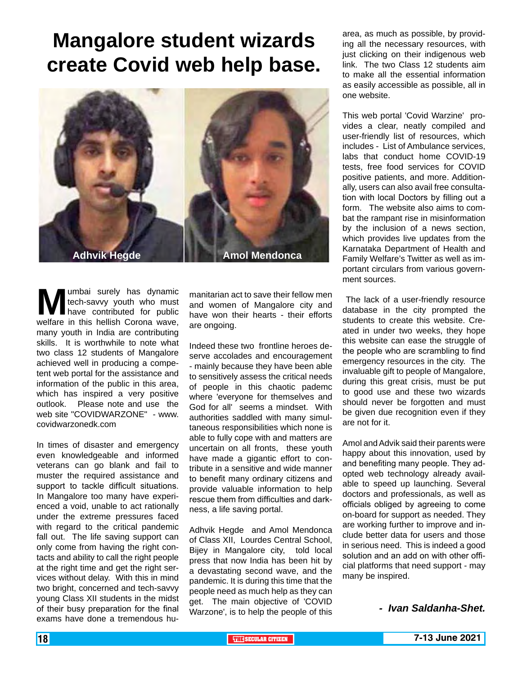### **Mangalore student wizards create Covid web help base.**



**Mumbai surely has dynamic tech-savvy youth who must have contributed for public welfare in this hellish Corona wave,** tech-savvy youth who must have contributed for public many youth in India are contributing skills. It is worthwhile to note what two class 12 students of Mangalore achieved well in producing a competent web portal for the assistance and information of the public in this area, which has inspired a very positive outlook. Please note and use the web site "COVIDWARZONE" - www. covidwarzonedk.com

In times of disaster and emergency even knowledgeable and informed veterans can go blank and fail to muster the required assistance and support to tackle difficult situations. In Mangalore too many have experienced a void, unable to act rationally under the extreme pressures faced with regard to the critical pandemic fall out. The life saving support can only come from having the right contacts and ability to call the right people at the right time and get the right services without delay. With this in mind two bright, concerned and tech-savvy young Class XII students in the midst of their busy preparation for the final exams have done a tremendous hu-

manitarian act to save their fellow men and women of Mangalore city and have won their hearts - their efforts are ongoing.

Indeed these two frontline heroes deserve accolades and encouragement - mainly because they have been able to sensitively assess the critical needs of people in this chaotic pademc where 'everyone for themselves and God for all' seems a mindset. With authorities saddled with many simultaneous responsibilities which none is able to fully cope with and matters are uncertain on all fronts, these youth have made a gigantic effort to contribute in a sensitive and wide manner to benefit many ordinary citizens and provide valuable information to help rescue them from difficulties and darkness, a life saving portal.

Adhvik Hegde and Amol Mendonca of Class XII, Lourdes Central School, Bijey in Mangalore city, told local press that now India has been hit by a devastating second wave, and the pandemic. It is during this time that the people need as much help as they can get. The main objective of 'COVID Warzone', is to help the people of this

area, as much as possible, by providing all the necessary resources, with just clicking on their indigenous web link. The two Class 12 students aim to make all the essential information as easily accessible as possible, all in one website.

This web portal 'Covid Warzine' provides a clear, neatly compiled and user-friendly list of resources, which includes - List of Ambulance services, labs that conduct home COVID-19 tests, free food services for COVID positive patients, and more. Additionally, users can also avail free consultation with local Doctors by filling out a form. The website also aims to combat the rampant rise in misinformation by the inclusion of a news section, which provides live updates from the Karnataka Department of Health and Family Welfare's Twitter as well as important circulars from various government sources.

 The lack of a user-friendly resource database in the city prompted the students to create this website. Created in under two weeks, they hope this website can ease the struggle of the people who are scrambling to find emergency resources in the city. The invaluable gift to people of Mangalore, during this great crisis, must be put to good use and these two wizards should never be forgotten and must be given due recognition even if they are not for it.

Amol and Advik said their parents were happy about this innovation, used by and benefiting many people. They adopted web technology already available to speed up launching. Several doctors and professionals, as well as officials obliged by agreeing to come on-board for support as needed. They are working further to improve and include better data for users and those in serious need. This is indeed a good solution and an add on with other official platforms that need support - may many be inspired.

*- Ivan Saldanha-Shet.*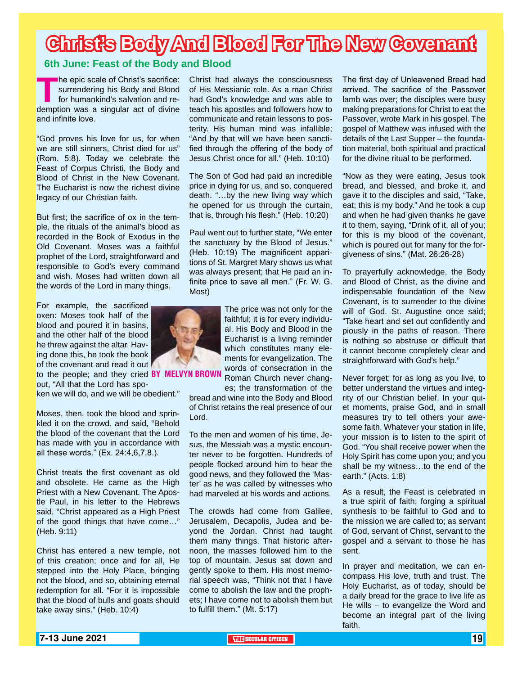### **Christ's Body And Blood For The New Covenant**

#### **6th June: Feast of the Body and Blood**

The epic scale of Christ's sacrifice:<br>
surrendering his Body and Blood<br>
for humankind's salvation and re-<br>
demption was a singular act of divine surrendering his Body and Blood for humankind's salvation and reand infinite love.

"God proves his love for us, for when we are still sinners, Christ died for us" (Rom. 5:8). Today we celebrate the Feast of Corpus Christi, the Body and Blood of Christ in the New Covenant. The Eucharist is now the richest divine legacy of our Christian faith.

But first; the sacrifice of ox in the temple, the rituals of the animal's blood as recorded in the Book of Exodus in the Old Covenant. Moses was a faithful prophet of the Lord, straightforward and responsible to God's every command and wish. Moses had written down all the words of the Lord in many things.

For example, the sacrificed oxen: Moses took half of the blood and poured it in basins, and the other half of the blood he threw against the altar. Having done this, he took the book of the covenant and read it out

to the people; and they cried **BY MELVYN BRO** out, "All that the Lord has spo-

ken we will do, and we will be obedient."

Moses, then, took the blood and sprinkled it on the crowd, and said, "Behold the blood of the covenant that the Lord has made with you in accordance with all these words." (Ex. 24:4,6,7,8.).

Christ treats the first covenant as old and obsolete. He came as the High Priest with a New Covenant. The Apostle Paul, in his letter to the Hebrews said, "Christ appeared as a High Priest of the good things that have come…" (Heb. 9:11)

Christ has entered a new temple, not of this creation; once and for all, He stepped into the Holy Place, bringing not the blood, and so, obtaining eternal redemption for all. "For it is impossible that the blood of bulls and goats should take away sins." (Heb. 10:4)

Christ had always the consciousness of His Messianic role. As a man Christ had God's knowledge and was able to teach his apostles and followers how to communicate and retain lessons to posterity. His human mind was infallible; "And by that will we have been sanctified through the offering of the body of Jesus Christ once for all." (Heb. 10:10)

The Son of God had paid an incredible price in dying for us, and so, conquered death. "…by the new living way which he opened for us through the curtain, that is, through his flesh." (Heb. 10:20)

Paul went out to further state, "We enter the sanctuary by the Blood of Jesus." (Heb. 10:19) The magnificent apparitions of St. Margret Mary shows us what was always present; that He paid an infinite price to save all men." (Fr. W. G. Most)

> The price was not only for the faithful; it is for every individual. His Body and Blood in the Eucharist is a living reminder which constitutes many elements for evangelization. The words of consecration in the Roman Church never chang-

es; the transformation of the bread and wine into the Body and Blood of Christ retains the real presence of our Lord.

To the men and women of his time, Jesus, the Messiah was a mystic encounter never to be forgotten. Hundreds of people flocked around him to hear the good news, and they followed the 'Master' as he was called by witnesses who had marveled at his words and actions.

The crowds had come from Galilee, Jerusalem, Decapolis, Judea and beyond the Jordan. Christ had taught them many things. That historic afternoon, the masses followed him to the top of mountain. Jesus sat down and gently spoke to them. His most memorial speech was, "Think not that I have come to abolish the law and the prophets; I have come not to abolish them but to fulfill them." (Mt. 5:17)

The first day of Unleavened Bread had arrived. The sacrifice of the Passover lamb was over; the disciples were busy making preparations for Christ to eat the Passover, wrote Mark in his gospel. The gospel of Matthew was infused with the details of the Last Supper – the foundation material, both spiritual and practical for the divine ritual to be performed.

"Now as they were eating, Jesus took bread, and blessed, and broke it, and gave it to the disciples and said, "Take, eat; this is my body." And he took a cup and when he had given thanks he gave it to them, saying, "Drink of it, all of you; for this is my blood of the covenant, which is poured out for many for the forgiveness of sins." (Mat. 26:26-28)

To prayerfully acknowledge, the Body and Blood of Christ, as the divine and indispensable foundation of the New Covenant, is to surrender to the divine will of God. St. Augustine once said; "Take heart and set out confidently and piously in the paths of reason. There is nothing so abstruse or difficult that it cannot become completely clear and straightforward with God's help."

Never forget; for as long as you live, to better understand the virtues and integrity of our Christian belief. In your quiet moments, praise God, and in small measures try to tell others your awesome faith. Whatever your station in life, your mission is to listen to the spirit of God. "You shall receive power when the Holy Spirit has come upon you; and you shall be my witness...to the end of the earth." (Acts. 1:8)

As a result, the Feast is celebrated in a true spirit of faith; forging a spiritual synthesis to be faithful to God and to the mission we are called to; as servant of God, servant of Christ, servant to the gospel and a servant to those he has sent.

In prayer and meditation, we can encompass His love, truth and trust. The Holy Eucharist, as of today, should be a daily bread for the grace to live life as He wills  $-$  to evangelize the Word and become an integral part of the living faith.